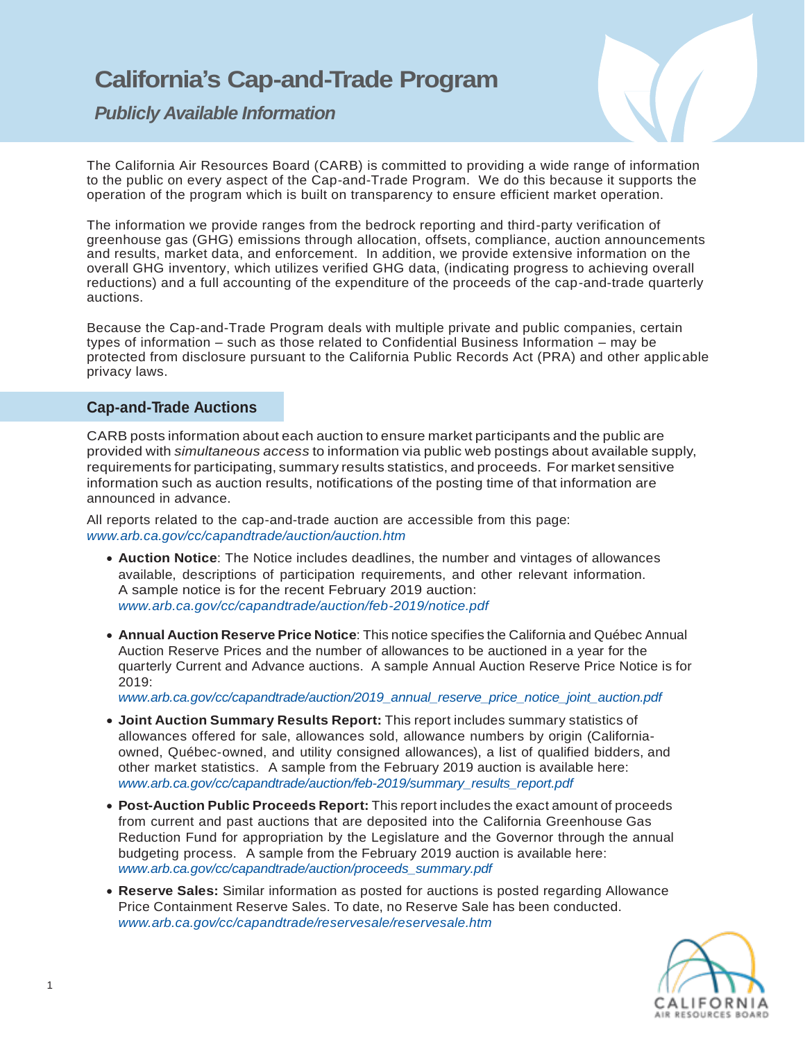# **California's Cap-and-Trade Program**

*Publicly Available Information*



The California Air Resources Board (CARB) is committed to providing a wide range of information to the public on every aspect of the Cap-and-Trade Program. We do this because it supports the operation of the program which is built on transparency to ensure efficient market operation.

The information we provide ranges from the bedrock reporting and third-party verification of greenhouse gas (GHG) emissions through allocation, offsets, compliance, auction announcements and results, market data, and enforcement. In addition, we provide extensive information on the overall GHG inventory, which utilizes verified GHG data, (indicating progress to achieving overall reductions) and a full accounting of the expenditure of the proceeds of the cap-and-trade quarterly auctions.

Because the Cap-and-Trade Program deals with multiple private and public companies, certain types of information – such as those related to Confidential Business Information – may be protected from disclosure pursuant to the California Public Records Act (PRA) and other applicable privacy laws.

# **Cap-and-Trade Auctions**

CARB posts information about each auction to ensure market participants and the public are provided with *simultaneous access* to information via public web postings about available supply, requirements for participating, summary results statistics, and proceeds. For market sensitive information such as auction results, notifications of the posting time of that information are announced in advance.

All reports related to the cap-and-trade auction are accessible from this page: *[www.arb.ca.gov/cc/capandtrade/auction/auction.htm](http://www.arb.ca.gov/cc/capandtrade/auction/auction.htm)*

- **Auction Notice**: The Notice includes deadlines, the number and vintages of allowances available, descriptions of participation requirements, and other relevant information. A sample notice is for the recent February 2019 auction: *[www.arb.ca.gov/cc/capandtrade/auction/feb-2019/notice.pdf](https://www.arb.ca.gov/cc/capandtrade/auction/feb-2019/notice.pdf)*
- **Annual Auction Reserve Price Notice**: This notice specifies the California and Québec Annual Auction Reserve Prices and the number of allowances to be auctioned in a year for the quarterly Current and Advance auctions. A sample Annual Auction Reserve Price Notice is for 2019:

*ww[w.arb.ca.gov/cc/capandtrade/auction/2019\\_annual\\_reserve\\_price\\_notice\\_joint\\_auction.pdf](https://www.arb.ca.gov/cc/capandtrade/auction/2019_annual_reserve_price_notice_joint_auction.pdf)*

- **Joint Auction Summary Results Report:** This report includes summary statistics of allowances offered for sale, allowances sold, allowance numbers by origin (Californiaowned, Québec-owned, and utility consigned allowances), a list of qualified bidders, and other market statistics. A sample from the February 2019 auction is available here: *ww[w.arb.ca.gov/cc/capandtrade/auction/feb-2019/summary\\_results\\_report.pdf](https://www.arb.ca.gov/cc/capandtrade/auction/feb-2019/summary_results_report.pdf)*
- **Post-Auction Public Proceeds Report:** This report includes the exact amount of proceeds from current and past auctions that are deposited into the California Greenhouse Gas Reduction Fund for appropriation by the Legislature and the Governor through the annual budgeting process. A sample from the February 2019 auction is available here: *[www.arb.ca.gov/cc/capandtrade/auction/proceeds\\_summary.pdf](http://www.arb.ca.gov/cc/capandtrade/auction/proceeds_summary.pdf)*
- **Reserve Sales:** Similar information as posted for auctions is posted regarding Allowance Price Containment Reserve Sales. To date, no Reserve Sale has been conducted. *[www.arb.ca.gov/cc/capandtrade/reservesale/reservesale.htm](http://www.arb.ca.gov/cc/capandtrade/reservesale/reservesale.htm)*

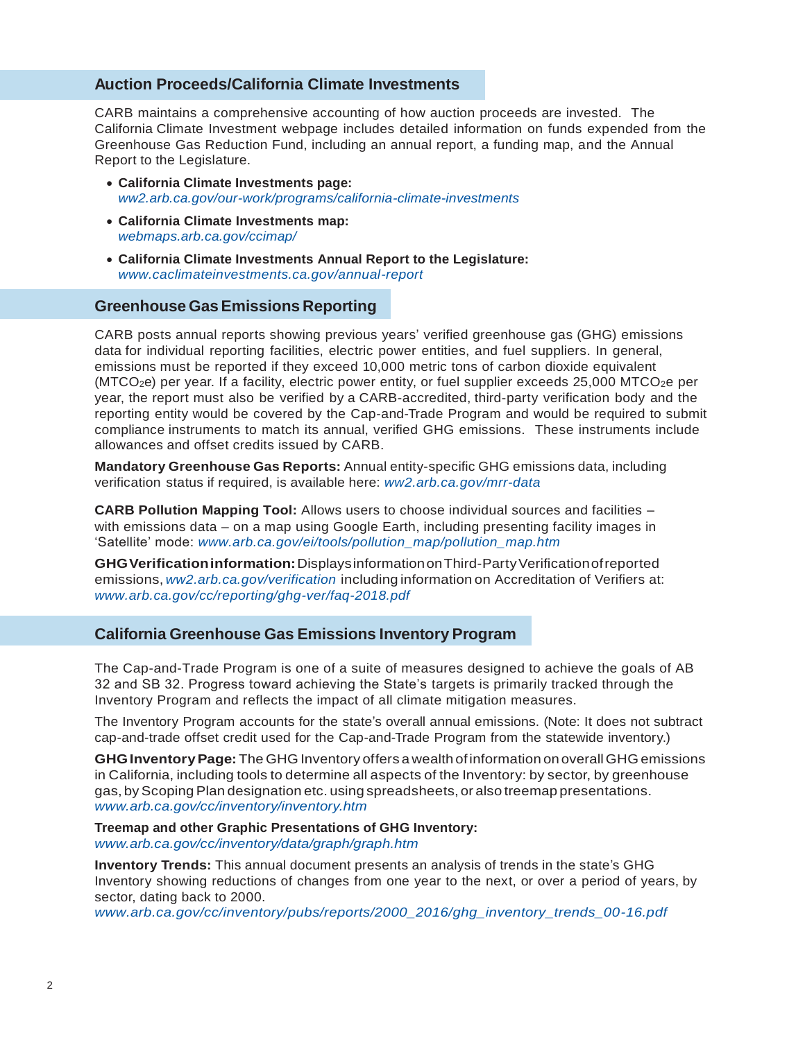#### **Auction Proceeds/California Climate Investments**

CARB maintains a comprehensive accounting of how auction proceeds are invested. The California Climate Investment webpage includes detailed information on funds expended from the Greenhouse Gas Reduction Fund, including an annual report, a funding map, and the Annual Report to the Legislature.

- **California Climate Investments page:** *[ww2.arb.ca.gov/our-work/programs/california-climate-investments](https://ww2.arb.ca.gov/our-work/programs/california-climate-investments)*
- **California Climate Investments map:** *[webmaps.arb.ca.gov/ccimap/](https://webmaps.arb.ca.gov/ccimap/)*
- **California Climate Investments Annual Report to the Legislature:** *[www.caclimateinvestments.ca.gov/annual-report](http://www.caclimateinvestments.ca.gov/annual-report)*

# **Greenhouse GasEmissions Reporting**

CARB posts annual reports showing previous years' verified greenhouse gas (GHG) emissions data for individual reporting facilities, electric power entities, and fuel suppliers. In general, emissions must be reported if they exceed 10,000 metric tons of carbon dioxide equivalent  $(MTCO<sub>2</sub>e)$  per year. If a facility, electric power entity, or fuel supplier exceeds 25,000 MTCO<sub>2</sub>e per year, the report must also be verified by a CARB-accredited, third-party verification body and the reporting entity would be covered by the Cap-and-Trade Program and would be required to submit compliance instruments to match its annual, verified GHG emissions. These instruments include allowances and offset credits issued by CARB.

**Mandatory Greenhouse Gas Reports:** Annual entity-specific GHG emissions data, including verification status if required, is available here: *[ww2.arb.ca.gov/mrr-data](https://ww2.arb.ca.gov/mrr-data)*

**CARB Pollution Mapping Tool:** Allows users to choose individual sources and facilities – with emissions data – on a map using Google Earth, including presenting facility images in 'Satellite' mode: *[www.arb.ca.gov/ei/tools/pollution\\_map/pollution\\_map.htm](http://www.arb.ca.gov/ei/tools/pollution_map/pollution_map.htm)*

**GHGVerificationinformation:**DisplaysinformationonThird-PartyVerificationofreported emissions, *[ww2.arb.ca.gov/verification](https://ww2.arb.ca.gov/verification)* including information on Accreditation of Verifiers at: *[www.arb.ca.gov/cc/reporting/ghg-ver/faq-2018.pdf](https://www.arb.ca.gov/cc/reporting/ghg-ver/faq-2018.pdf)* 

### **California Greenhouse Gas Emissions Inventory Program**

The Cap-and-Trade Program is one of a suite of measures designed to achieve the goals of AB 32 and SB 32. Progress toward achieving the State's targets is primarily tracked through the Inventory Program and reflects the impact of all climate mitigation measures.

The Inventory Program accounts for the state's overall annual emissions. (Note: It does not subtract cap-and-trade offset credit used for the Cap-and-Trade Program from the statewide inventory.)

**GHGInventoryPage:**The GHG Inventory offers a wealth ofinformation onoverallGHG emissions in California, including tools to determine all aspects of the Inventory: by sector, by greenhouse gas, byScopingPlan designation etc. using spreadsheets, or also treemap presentations. *[www.arb.ca.gov/cc/inventory/inventory.htm](http://www.arb.ca.gov/cc/inventory/inventory.htm)*

**Treemap and other Graphic Presentations of GHG Inventory:** *[www.arb.ca.gov/cc/inventory/data/graph/graph.htm](https://www.arb.ca.gov/cc/inventory/data/graph/graph.htm)*

**Inventory Trends:** This annual document presents an analysis of trends in the state's GHG Inventory showing reductions of changes from one year to the next, or over a period of years, by sector, dating back to 2000.

*[www.arb.ca.gov/cc/inventory/pubs/reports/2000\\_2016/ghg\\_inventory\\_trends\\_00-16.pdf](https://www.arb.ca.gov/cc/inventory/pubs/reports/2000_2016/ghg_inventory_trends_00-16.pdf)*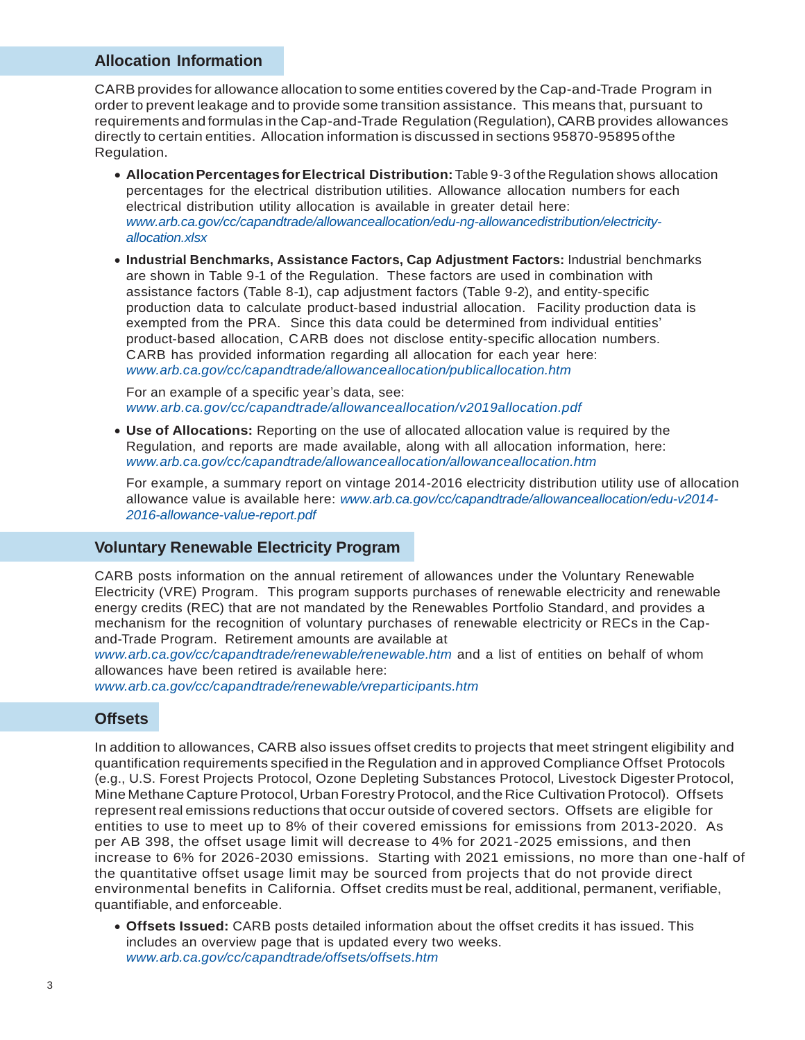# **Allocation Information**

CARB provides for allowance allocation to some entities covered by the Cap-and-Trade Program in order to prevent leakage and to provide some transition assistance. This means that, pursuant to requirements and formulas in the Cap-and-Trade Regulation (Regulation), CARB provides allowances directly to certain entities. Allocation information is discussed in sections 95870-95895ofthe Regulation.

- **AllocationPercentages forElectrical Distribution:**Table 9-3 of the Regulation shows allocation percentages for the electrical distribution utilities. Allowance allocation numbers for each electrical distribution utility allocation is available in greater detail here: *[www.arb.ca.gov/cc/capandtrade/allowanceallocation/edu-ng-allowancedistribution/electricity](https://www.arb.ca.gov/cc/capandtrade/allowanceallocation/edu-ng-allowancedistribution/electricity-allocation.xlsx)[allocation.xlsx](https://www.arb.ca.gov/cc/capandtrade/allowanceallocation/edu-ng-allowancedistribution/electricity-allocation.xlsx)*
- **Industrial Benchmarks, Assistance Factors, Cap Adjustment Factors:** Industrial benchmarks are shown in Table 9-1 of the Regulation. These factors are used in combination with assistance factors (Table 8-1), cap adjustment factors (Table 9-2), and entity-specific production data to calculate product-based industrial allocation. Facility production data is exempted from the PRA. Since this data could be determined from individual entities' product-based allocation, CARB does not disclose entity-specific allocation numbers. CARB has provided information regarding all allocation for each year here: *[www.arb.ca.gov/cc/capandtrade/allowanceallocation/publicallocation.htm](http://www.arb.ca.gov/cc/capandtrade/allowanceallocation/publicallocation.htm)*

For an example of a specific year's data, see: *[www.arb.ca.gov/cc/capandtrade/allowanceallocation/v2019allocation.pdf](https://www.arb.ca.gov/cc/capandtrade/allowanceallocation/v2019allocation.pdf)*

 **Use of Allocations:** Reporting on the use of allocated allocation value is required by the Regulation, and reports are made available, along with all allocation information, here: *[www.arb.ca.gov/cc/capandtrade/allowanceallocation/allowanceallocation.htm](http://www.arb.ca.gov/cc/capandtrade/allowanceallocation/allowanceallocation.htm)*

For example, a summary report on vintage 2014-2016 electricity distribution utility use of allocation allowance value is available here: *[www.arb.ca.gov/cc/capandtrade/allowanceallocation/edu-v2014-](https://www.arb.ca.gov/cc/capandtrade/allowanceallocation/edu-v2014-2016-allowance-value-report.pdf) [2016-allowance-value-report.pdf](https://www.arb.ca.gov/cc/capandtrade/allowanceallocation/edu-v2014-2016-allowance-value-report.pdf)*

#### **Voluntary Renewable Electricity Program**

CARB posts information on the annual retirement of allowances under the Voluntary Renewable Electricity (VRE) Program. This program supports purchases of renewable electricity and renewable energy credits (REC) that are not mandated by the Renewables Portfolio Standard, and provides a mechanism for the recognition of voluntary purchases of renewable electricity or RECs in the Capand-Trade Program. Retirement amounts are available at

*[www.arb.ca.gov/cc/capandtrade/renewable/renewable.htm](https://www.arb.ca.gov/cc/capandtrade/renewable/renewable.htm)* and a list of entities on behalf of whom allowances have been retired is available here:

*[www.arb.ca.gov/cc/capandtrade/renewable/vreparticipants.htm](https://www.arb.ca.gov/cc/capandtrade/renewable/vreparticipants.htm)*

# **Offsets**

In addition to allowances, CARB also issues offset credits to projects that meet stringent eligibility and quantification requirements specified in the Regulation and in approved Compliance Offset Protocols (e.g., U.S. Forest Projects Protocol, Ozone Depleting Substances Protocol, Livestock DigesterProtocol, Mine Methane Capture Protocol, Urban Forestry Protocol, and the Rice Cultivation Protocol). Offsets represent real emissions reductions that occur outside of covered sectors. Offsets are eligible for entities to use to meet up to 8% of their covered emissions for emissions from 2013-2020. As per AB 398, the offset usage limit will decrease to 4% for 2021-2025 emissions, and then increase to 6% for 2026-2030 emissions. Starting with 2021 emissions, no more than one-half of the quantitative offset usage limit may be sourced from projects that do not provide direct environmental benefits in California. Offset credits must be real, additional, permanent, verifiable, quantifiable, and enforceable.

 **Offsets Issued:** CARB posts detailed information about the offset credits it has issued. This includes an overview page that is updated every two weeks. *[www.arb.ca.gov/cc/capandtrade/offsets/offsets.htm](http://www.arb.ca.gov/cc/capandtrade/offsets/offsets.htm)*